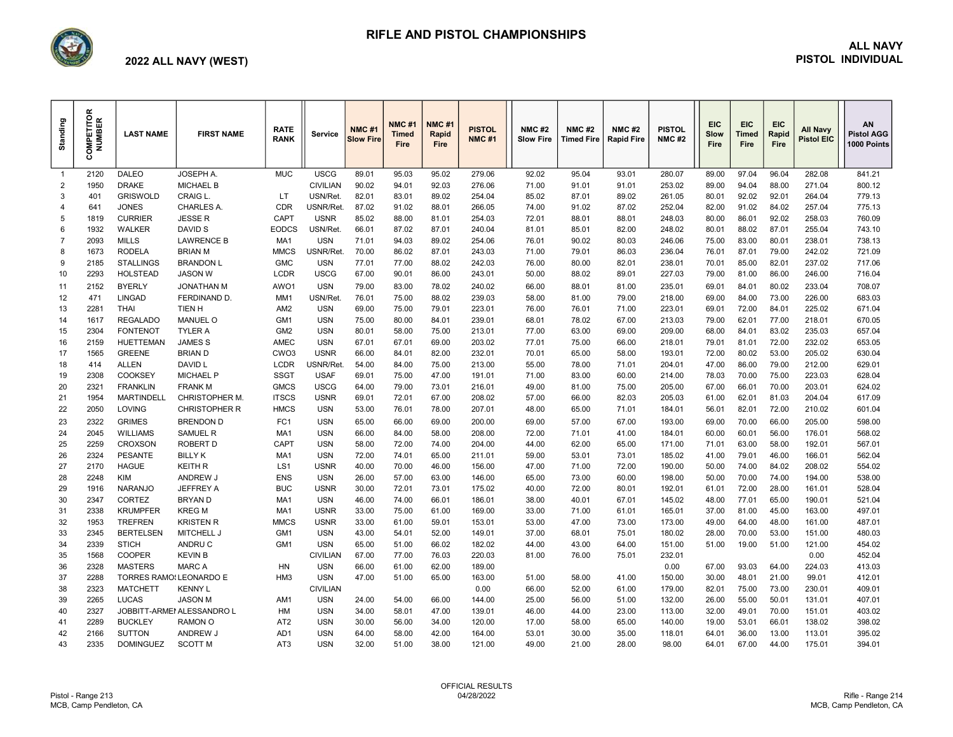

# RIFLE AND PISTOL CHAMPIONSHIPS

#### ALL NAVY PISTOL INDIVIDUAL

## 2022 ALL NAVY (WEST)

| Standing            | COMPETITOR<br><b>NUMBER</b> | <b>LAST NAME</b>                  | <b>FIRST NAME</b>                   | <b>RATE</b><br><b>RANK</b>     | Service                    | <b>NMC#1</b><br><b>Slow Fire</b> | <b>NMC#1</b><br><b>Timed</b><br><b>Fire</b> | <b>NMC#1</b><br>Rapid<br><b>Fire</b> | <b>PISTOL</b><br><b>NMC#1</b> | <b>NMC#2</b><br><b>Slow Fire</b> | <b>NMC#2</b><br><b>Timed Fire</b> | <b>NMC#2</b><br><b>Rapid Fire</b> | <b>PISTOL</b><br><b>NMC#2</b> | <b>EIC</b><br><b>Slow</b><br>Fire | <b>EIC</b><br><b>Timed</b><br>Fire | <b>EIC</b><br>Rapid<br>Fire | <b>All Navy</b><br><b>Pistol EIC</b> | AN<br><b>Pistol AGG</b><br>1000 Points |
|---------------------|-----------------------------|-----------------------------------|-------------------------------------|--------------------------------|----------------------------|----------------------------------|---------------------------------------------|--------------------------------------|-------------------------------|----------------------------------|-----------------------------------|-----------------------------------|-------------------------------|-----------------------------------|------------------------------------|-----------------------------|--------------------------------------|----------------------------------------|
| $\overline{1}$      | 2120                        | <b>DALEO</b>                      | JOSEPH A.                           | <b>MUC</b>                     | <b>USCG</b>                | 89.01                            | 95.03                                       | 95.02                                | 279.06                        | 92.02                            | 95.04                             | 93.01                             | 280.07                        | 89.00                             | 97.04                              | 96.04                       | 282.08                               | 841.21                                 |
| $\overline{2}$      | 1950                        | <b>DRAKE</b>                      | <b>MICHAEL B</b>                    |                                | <b>CIVILIAN</b>            | 90.02                            | 94.01                                       | 92.03                                | 276.06                        | 71.00                            | 91.01                             | 91.01                             | 253.02                        | 89.00                             | 94.04                              | 88.00                       | 271.04                               | 800.12                                 |
| 3                   | 401                         | <b>GRISWOLD</b>                   | <b>CRAIG L</b>                      | LT                             | USN/Ret.                   | 82.01                            | 83.01                                       | 89.02                                | 254.04                        | 85.02                            | 87.01                             | 89.02                             | 261.05                        | 80.01                             | 92.02                              | 92.01                       | 264.04                               | 779.13                                 |
| 4                   | 641                         | <b>JONES</b>                      | CHARLES A.                          | CDR                            | USNR/Ret.                  | 87.02                            | 91.02                                       | 88.01                                | 266.05                        | 74.00                            | 91.02                             | 87.02                             | 252.04                        | 82.00                             | 91.02                              | 84.02                       | 257.04                               | 775.13                                 |
| 5                   | 1819                        | <b>CURRIER</b>                    | <b>JESSER</b>                       | CAPT                           | <b>USNR</b>                | 85.02                            | 88.00                                       | 81.01                                | 254.03                        | 72.01                            | 88.01                             | 88.01                             | 248.03                        | 80.00                             | 86.01                              | 92.02                       | 258.03                               | 760.09                                 |
| 6<br>$\overline{7}$ | 1932                        | <b>WALKER</b>                     | DAVID S                             | <b>EODCS</b>                   | USN/Ret.<br><b>USN</b>     | 66.01                            | 87.02                                       | 87.01                                | 240.04                        | 81.01                            | 85.01                             | 82.00                             | 248.02                        | 80.01                             | 88.02                              | 87.01                       | 255.04                               | 743.10                                 |
| 8                   | 2093<br>1673                | <b>MILLS</b><br><b>RODELA</b>     | <b>LAWRENCE B</b><br><b>BRIAN M</b> | MA1<br><b>MMCS</b>             | USNR/Ret.                  | 71.01<br>70.00                   | 94.03<br>86.02                              | 89.02<br>87.01                       | 254.06<br>243.03              | 76.01<br>71.00                   | 90.02<br>79.01                    | 80.03<br>86.03                    | 246.06<br>236.04              | 75.00<br>76.01                    | 83.00<br>87.01                     | 80.01<br>79.00              | 238.01<br>242.02                     | 738.13<br>721.09                       |
| 9                   | 2185                        | <b>STALLINGS</b>                  | <b>BRANDON L</b>                    | <b>GMC</b>                     | <b>USN</b>                 | 77.01                            | 77.00                                       | 88.02                                | 242.03                        | 76.00                            | 80.00                             | 82.01                             | 238.01                        | 70.01                             | 85.00                              | 82.01                       | 237.02                               | 717.06                                 |
| 10                  | 2293                        | <b>HOLSTEAD</b>                   | <b>JASON W</b>                      | <b>LCDR</b>                    | <b>USCG</b>                | 67.00                            | 90.01                                       | 86.00                                | 243.01                        | 50.00                            | 88.02                             | 89.01                             | 227.03                        | 79.00                             | 81.00                              | 86.00                       | 246.00                               | 716.04                                 |
| 11                  | 2152                        | <b>BYERLY</b>                     | <b>JONATHAN M</b>                   | AWO1                           | <b>USN</b>                 | 79.00                            | 83.00                                       | 78.02                                | 240.02                        | 66.00                            | 88.01                             | 81.00                             | 235.01                        | 69.01                             | 84.01                              | 80.02                       | 233.04                               | 708.07                                 |
| 12                  | 471                         | <b>LINGAD</b>                     | FERDINAND D.                        | MM1                            | USN/Ret.                   | 76.01                            | 75.00                                       | 88.02                                | 239.03                        | 58.00                            | 81.00                             | 79.00                             | 218.00                        | 69.00                             | 84.00                              | 73.00                       | 226.00                               | 683.03                                 |
| 13                  | 2281                        | <b>THAI</b>                       | TIEN H                              | AM <sub>2</sub>                | <b>USN</b>                 | 69.00                            | 75.00                                       | 79.01                                | 223.01                        | 76.00                            | 76.01                             | 71.00                             | 223.01                        | 69.01                             | 72.00                              | 84.01                       | 225.02                               | 671.04                                 |
| 14                  | 1617                        | <b>REGALADO</b>                   | <b>MANUEL O</b>                     | GM <sub>1</sub>                | <b>USN</b>                 | 75.00                            | 80.00                                       | 84.01                                | 239.01                        | 68.01                            | 78.02                             | 67.00                             | 213.03                        | 79.00                             | 62.01                              | 77.00                       | 218.01                               | 670.05                                 |
| 15                  | 2304                        | <b>FONTENOT</b>                   | <b>TYLER A</b>                      | GM <sub>2</sub>                | <b>USN</b>                 | 80.01                            | 58.00                                       | 75.00                                | 213.01                        | 77.00                            | 63.00                             | 69.00                             | 209.00                        | 68.00                             | 84.01                              | 83.02                       | 235.03                               | 657.04                                 |
| 16                  | 2159                        | <b>HUETTEMAN</b>                  | <b>JAMES S</b>                      | AMEC                           | <b>USN</b>                 | 67.01                            | 67.01                                       | 69.00                                | 203.02                        | 77.01                            | 75.00                             | 66.00                             | 218.01                        | 79.01                             | 81.01                              | 72.00                       | 232.02                               | 653.05                                 |
| 17                  | 1565                        | <b>GREENE</b>                     | <b>BRIAN D</b>                      | CWO <sub>3</sub>               | <b>USNR</b>                | 66.00                            | 84.01                                       | 82.00                                | 232.01                        | 70.01                            | 65.00                             | 58.00                             | 193.01                        | 72.00                             | 80.02                              | 53.00                       | 205.02                               | 630.04                                 |
| 18                  | 414                         | <b>ALLEN</b>                      | DAVID L                             | <b>LCDR</b>                    | USNR/Ret.                  | 54.00                            | 84.00                                       | 75.00                                | 213.00                        | 55.00                            | 78.00                             | 71.01                             | 204.01                        | 47.00                             | 86.00                              | 79.00                       | 212.00                               | 629.01                                 |
| 19                  | 2308                        | COOKSEY                           | <b>MICHAEL P</b>                    | <b>SSGT</b>                    | <b>USAF</b>                | 69.01                            | 75.00                                       | 47.00                                | 191.01                        | 71.00                            | 83.00                             | 60.00                             | 214.00                        | 78.03                             | 70.00                              | 75.00                       | 223.03                               | 628.04                                 |
| 20                  | 2321                        | <b>FRANKLIN</b>                   | <b>FRANK M</b>                      | <b>GMCS</b>                    | <b>USCG</b>                | 64.00                            | 79.00                                       | 73.01                                | 216.01                        | 49.00                            | 81.00                             | 75.00                             | 205.00                        | 67.00                             | 66.01                              | 70.00                       | 203.01                               | 624.02                                 |
| 21                  | 1954                        | <b>MARTINDELL</b>                 | <b>CHRISTOPHER M.</b>               | <b>ITSCS</b>                   | <b>USNR</b>                | 69.01                            | 72.01                                       | 67.00                                | 208.02                        | 57.00                            | 66.00                             | 82.03                             | 205.03                        | 61.00                             | 62.01                              | 81.03                       | 204.04                               | 617.09                                 |
| 22                  | 2050                        | <b>LOVING</b>                     | <b>CHRISTOPHER R</b>                | <b>HMCS</b>                    | <b>USN</b>                 | 53.00                            | 76.01                                       | 78.00                                | 207.01                        | 48.00                            | 65.00                             | 71.01                             | 184.01                        | 56.01                             | 82.01                              | 72.00                       | 210.02                               | 601.04                                 |
| 23                  | 2322                        | <b>GRIMES</b>                     | <b>BRENDON D</b>                    | FC1                            | <b>USN</b>                 | 65.00                            | 66.00                                       | 69.00                                | 200.00                        | 69.00                            | 57.00                             | 67.00                             | 193.00                        | 69.00                             | 70.00                              | 66.00                       | 205.00                               | 598.00                                 |
| 24                  | 2045                        | <b>WILLIAMS</b>                   | <b>SAMUEL R</b>                     | MA <sub>1</sub>                | <b>USN</b>                 | 66.00                            | 84.00                                       | 58.00                                | 208.00                        | 72.00                            | 71.01                             | 41.00                             | 184.01                        | 60.00                             | 60.01                              | 56.00                       | 176.01                               | 568.02                                 |
| 25                  | 2259                        | <b>CROXSON</b>                    | ROBERT D                            | CAPT                           | <b>USN</b>                 | 58.00                            | 72.00                                       | 74.00                                | 204.00                        | 44.00                            | 62.00                             | 65.00                             | 171.00                        | 71.01                             | 63.00                              | 58.00                       | 192.01                               | 567.01                                 |
| 26                  | 2324                        | <b>PESANTE</b>                    | <b>BILLY K</b>                      | MA <sub>1</sub>                | <b>USN</b>                 | 72.00                            | 74.01                                       | 65.00                                | 211.01                        | 59.00                            | 53.01                             | 73.01                             | 185.02                        | 41.00                             | 79.01                              | 46.00                       | 166.01                               | 562.04                                 |
| 27                  | 2170                        | <b>HAGUE</b>                      | <b>KEITH R</b>                      | LS <sub>1</sub>                | <b>USNR</b>                | 40.00                            | 70.00                                       | 46.00                                | 156.00                        | 47.00                            | 71.00                             | 72.00                             | 190.00                        | 50.00                             | 74.00                              | 84.02                       | 208.02                               | 554.02                                 |
| 28                  | 2248                        | <b>KIM</b>                        | ANDREW J                            | <b>ENS</b>                     | <b>USN</b>                 | 26.00                            | 57.00                                       | 63.00                                | 146.00                        | 65.00                            | 73.00                             | 60.00                             | 198.00                        | 50.00                             | 70.00                              | 74.00                       | 194.00                               | 538.00                                 |
| 29                  | 1916                        | <b>NARANJO</b>                    | JEFFREY A                           | <b>BUC</b>                     | <b>USNR</b>                | 30.00                            | 72.01                                       | 73.01                                | 175.02                        | 40.00                            | 72.00                             | 80.01                             | 192.01                        | 61.01                             | 72.00                              | 28.00                       | 161.01                               | 528.04                                 |
| 30                  | 2347                        | <b>CORTEZ</b>                     | <b>BRYAND</b>                       | MA <sub>1</sub>                | <b>USN</b>                 | 46.00                            | 74.00                                       | 66.01                                | 186.01                        | 38.00                            | 40.01                             | 67.01                             | 145.02                        | 48.00                             | 77.01                              | 65.00                       | 190.01                               | 521.04                                 |
| 31<br>32            | 2338<br>1953                | <b>KRUMPFER</b><br><b>TREFREN</b> | <b>KREG M</b><br><b>KRISTEN R</b>   | MA <sub>1</sub><br><b>MMCS</b> | <b>USNR</b><br><b>USNR</b> | 33.00<br>33.00                   | 75.00<br>61.00                              | 61.00<br>59.01                       | 169.00<br>153.01              | 33.00<br>53.00                   | 71.00<br>47.00                    | 61.01<br>73.00                    | 165.01<br>173.00              | 37.00<br>49.00                    | 81.00<br>64.00                     | 45.00<br>48.00              | 163.00<br>161.00                     | 497.01<br>487.01                       |
| 33                  | 2345                        | <b>BERTELSEN</b>                  | MITCHELL J                          | GM1                            | <b>USN</b>                 | 43.00                            | 54.01                                       | 52.00                                | 149.01                        | 37.00                            | 68.01                             | 75.01                             | 180.02                        | 28.00                             | 70.00                              | 53.00                       | 151.00                               | 480.03                                 |
| 34                  | 2339                        | <b>STICH</b>                      | ANDRU C                             | GM <sub>1</sub>                | <b>USN</b>                 | 65.00                            | 51.00                                       | 66.02                                | 182.02                        | 44.00                            | 43.00                             | 64.00                             | 151.00                        | 51.00                             | 19.00                              | 51.00                       | 121.00                               | 454.02                                 |
| 35                  | 1568                        | <b>COOPER</b>                     | <b>KEVIN B</b>                      |                                | <b>CIVILIAN</b>            | 67.00                            | 77.00                                       | 76.03                                | 220.03                        | 81.00                            | 76.00                             | 75.01                             | 232.01                        |                                   |                                    |                             | 0.00                                 | 452.04                                 |
| 36                  | 2328                        | <b>MASTERS</b>                    | <b>MARCA</b>                        | <b>HN</b>                      | <b>USN</b>                 | 66.00                            | 61.00                                       | 62.00                                | 189.00                        |                                  |                                   |                                   | 0.00                          | 67.00                             | 93.03                              | 64.00                       | 224.03                               | 413.03                                 |
| 37                  | 2288                        | TORRES RAMO! LEONARDO E           |                                     | HM <sub>3</sub>                | <b>USN</b>                 | 47.00                            | 51.00                                       | 65.00                                | 163.00                        | 51.00                            | 58.00                             | 41.00                             | 150.00                        | 30.00                             | 48.01                              | 21.00                       | 99.01                                | 412.01                                 |
| 38                  | 2323                        | <b>MATCHETT</b>                   | <b>KENNY L</b>                      |                                | <b>CIVILIAN</b>            |                                  |                                             |                                      | 0.00                          | 66.00                            | 52.00                             | 61.00                             | 179.00                        | 82.01                             | 75.00                              | 73.00                       | 230.01                               | 409.01                                 |
| 39                  | 2265                        | <b>LUCAS</b>                      | <b>JASON M</b>                      | AM1                            | <b>USN</b>                 | 24.00                            | 54.00                                       | 66.00                                | 144.00                        | 25.00                            | 56.00                             | 51.00                             | 132.00                        | 26.00                             | 55.00                              | 50.01                       | 131.01                               | 407.01                                 |
| 40                  | 2327                        |                                   | JOBBITT-ARMEI ALESSANDRO L          | HM                             | <b>USN</b>                 | 34.00                            | 58.01                                       | 47.00                                | 139.01                        | 46.00                            | 44.00                             | 23.00                             | 113.00                        | 32.00                             | 49.01                              | 70.00                       | 151.01                               | 403.02                                 |
| 41                  | 2289                        | <b>BUCKLEY</b>                    | RAMON O                             | AT <sub>2</sub>                | <b>USN</b>                 | 30.00                            | 56.00                                       | 34.00                                | 120.00                        | 17.00                            | 58.00                             | 65.00                             | 140.00                        | 19.00                             | 53.01                              | 66.01                       | 138.02                               | 398.02                                 |
| 42                  | 2166                        | <b>SUTTON</b>                     | ANDREW J                            | AD <sub>1</sub>                | <b>USN</b>                 | 64.00                            | 58.00                                       | 42.00                                | 164.00                        | 53.01                            | 30.00                             | 35.00                             | 118.01                        | 64.01                             | 36.00                              | 13.00                       | 113.01                               | 395.02                                 |
| 43                  | 2335                        | <b>DOMINGUEZ</b>                  | <b>SCOTT M</b>                      | AT <sub>3</sub>                | <b>USN</b>                 | 32.00                            | 51.00                                       | 38.00                                | 121.00                        | 49.00                            | 21.00                             | 28.00                             | 98.00                         | 64.01                             | 67.00                              | 44.00                       | 175.01                               | 394.01                                 |